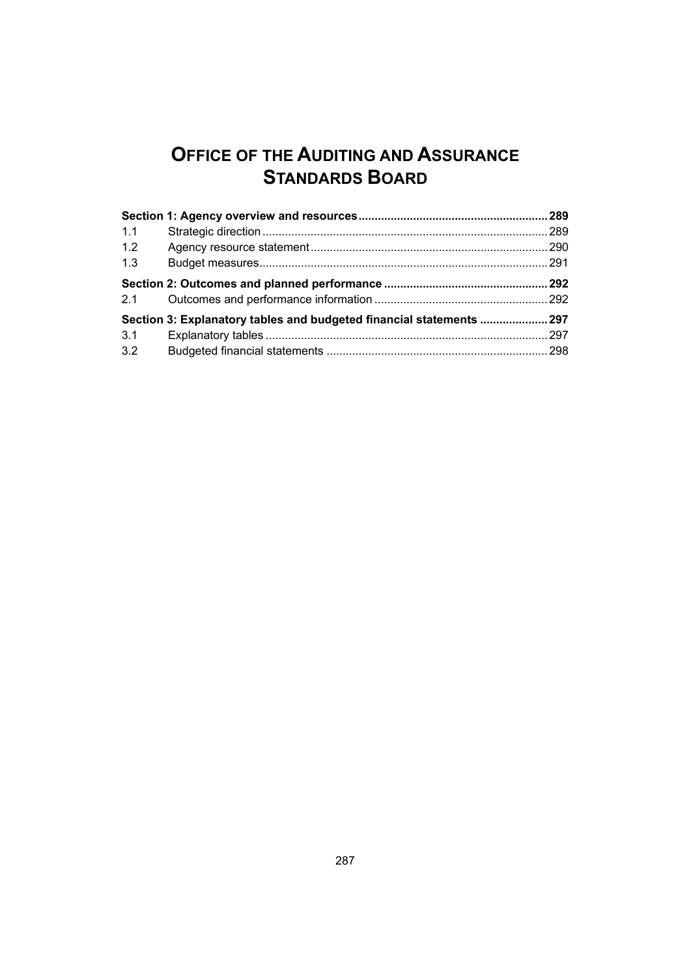# **OFFICE OF THE AUDITING AND ASSURANCE STANDARDS BOARD**

| 1.1 |                                                                      |  |
|-----|----------------------------------------------------------------------|--|
| 1.2 |                                                                      |  |
| 1.3 |                                                                      |  |
| 2.1 |                                                                      |  |
|     | Section 3: Explanatory tables and budgeted financial statements  297 |  |
| 3.1 |                                                                      |  |
| 3.2 |                                                                      |  |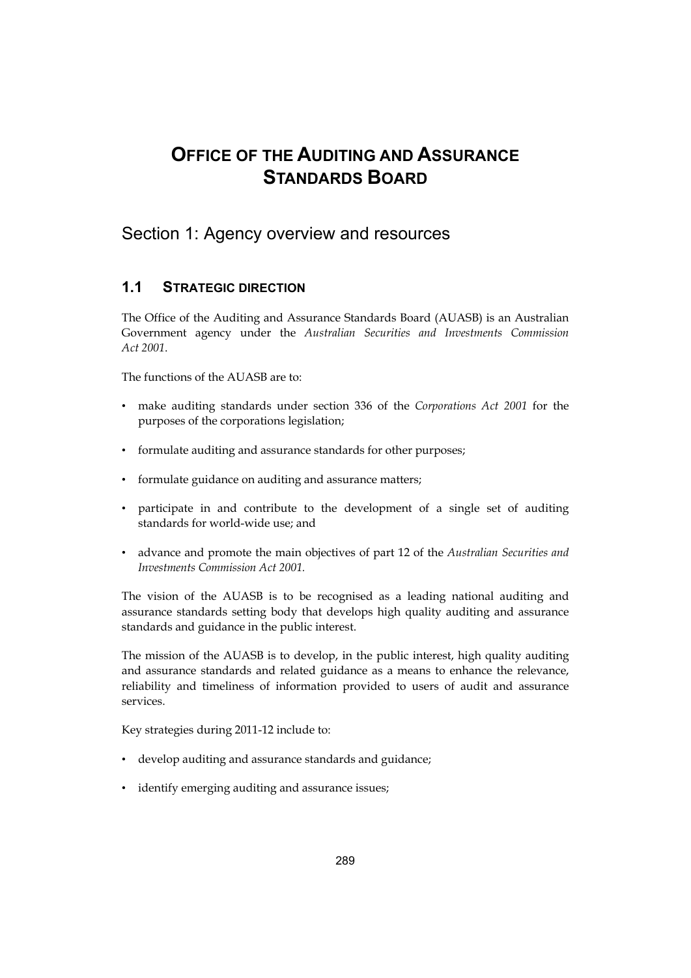# <span id="page-2-0"></span>**OFFICE OF THE AUDITING AND ASSURANCE STANDARDS BOARD**

# Section 1: Agency overview and resources

# **1.1 STRATEGIC DIRECTION**

The Office of the Auditing and Assurance Standards Board (AUASB) is an Australian Government agency under the *Australian Securities and Investments Commission Act 2001*.

The functions of the AUASB are to:

- make auditing standards under section 336 of the *Corporations Act 2001* for the purposes of the corporations legislation;
- formulate auditing and assurance standards for other purposes;
- formulate guidance on auditing and assurance matters;
- • participate in and contribute to the development of a single set of auditing standards for world-wide use; and
- • advance and promote the main objectives of part 12 of the *Australian Securities and Investments Commission Act 2001.*

The vision of the AUASB is to be recognised as a leading national auditing and assurance standards setting body that develops high quality auditing and assurance standards and guidance in the public interest.

The mission of the AUASB is to develop, in the public interest, high quality auditing and assurance standards and related guidance as a means to enhance the relevance, reliability and timeliness of information provided to users of audit and assurance services.

Key strategies during 2011-12 include to:

- develop auditing and assurance standards and guidance;
- identify emerging auditing and assurance issues;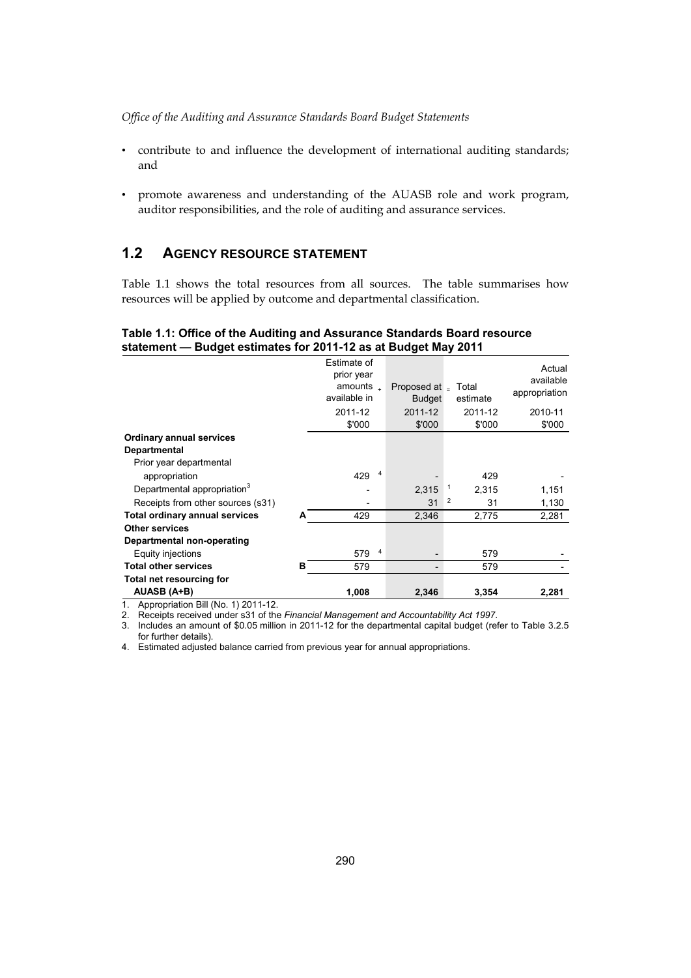- • contribute to and influence the development of international auditing standards; and
- auditor responsibilities, and the role of auditing and assurance services. • promote awareness and understanding of the AUASB role and work program,

## **1.2 AGENCY RESOURCE STATEMENT**

Table 1.1 shows the total resources from all sources. The table summarises how resources will be applied by outcome and departmental classification.

#### **Table 1.1: Office of the Auditing and Assurance Standards Board resource statement — Budget estimates for 2011-12 as at Budget May 2011**

|                                         |   | Estimate of<br>prior year      |                                |                   | Actual                     |
|-----------------------------------------|---|--------------------------------|--------------------------------|-------------------|----------------------------|
|                                         |   | amounts $\Box$<br>available in | Proposed at _<br><b>Budget</b> | Total<br>estimate | available<br>appropriation |
|                                         |   | 2011-12                        | 2011-12                        | 2011-12           | 2010-11                    |
|                                         |   | \$'000                         | \$'000                         | \$'000            | \$'000                     |
| <b>Ordinary annual services</b>         |   |                                |                                |                   |                            |
| <b>Departmental</b>                     |   |                                |                                |                   |                            |
| Prior year departmental                 |   |                                |                                |                   |                            |
| appropriation                           |   | 4<br>429                       |                                | 429               |                            |
| Departmental appropriation <sup>3</sup> |   |                                | 2,315                          | 2,315             | 1,151                      |
| Receipts from other sources (s31)       |   |                                | 31                             | 2<br>31           | 1,130                      |
| <b>Total ordinary annual services</b>   | A | 429                            | 2,346                          | 2,775             | 2,281                      |
| <b>Other services</b>                   |   |                                |                                |                   |                            |
| Departmental non-operating              |   |                                |                                |                   |                            |
| Equity injections                       |   | 4<br>579                       |                                | 579               |                            |
| <b>Total other services</b>             | в | 579                            | $\overline{\phantom{0}}$       | 579               |                            |
| Total net resourcing for                |   |                                |                                |                   |                            |
| AUASB (A+B)                             |   | 1,008                          | 2,346                          | 3,354             | 2,281                      |

1. Appropriation Bill (No. 1) 2011-12.

2. Receipts received under s31 of the *Financial Management and Accountability Act 1997*.

3. Includes an amount of \$0.05 million in 2011-12 for the departmental capital budget (refer to Table 3.2.5 for further details).

4. Estimated adjusted balance carried from previous year for annual appropriations.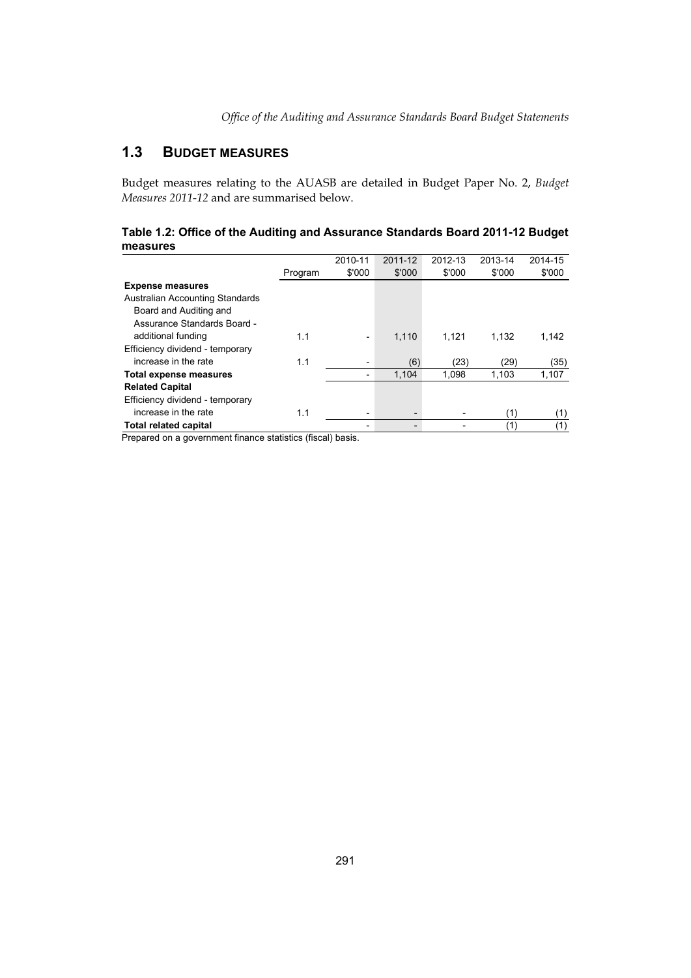# **1.3 BUDGET MEASURES**

 *Measures 2011-12* and are summarised below. Budget measures relating to the AUASB are detailed in Budget Paper No. 2, *Budget* 

| Table 1.2: Office of the Auditing and Assurance Standards Board 2011-12 Budget |  |
|--------------------------------------------------------------------------------|--|
| measures                                                                       |  |

|                                 |         | 2010-11                  | 2011-12 | 2012-13                  | 2013-14 | 2014-15 |
|---------------------------------|---------|--------------------------|---------|--------------------------|---------|---------|
|                                 | Program | \$'000                   | \$'000  | \$'000                   | \$'000  | \$'000  |
| <b>Expense measures</b>         |         |                          |         |                          |         |         |
| Australian Accounting Standards |         |                          |         |                          |         |         |
| Board and Auditing and          |         |                          |         |                          |         |         |
| Assurance Standards Board -     |         |                          |         |                          |         |         |
| additional funding              | 1.1     | $\overline{\phantom{a}}$ | 1.110   | 1.121                    | 1,132   | 1,142   |
| Efficiency dividend - temporary |         |                          |         |                          |         |         |
| increase in the rate            | 1.1     |                          | (6)     | (23)                     | (29)    | (35)    |
| <b>Total expense measures</b>   |         |                          | 1.104   | 1.098                    | 1,103   | 1,107   |
| <b>Related Capital</b>          |         |                          |         |                          |         |         |
| Efficiency dividend - temporary |         |                          |         |                          |         |         |
| increase in the rate            | 1.1     |                          |         | $\overline{\phantom{a}}$ | (1)     | (1)     |
| Total related capital           |         |                          |         | $\overline{\phantom{a}}$ | (1)     | (1)     |

Prepared on a government finance statistics (fiscal) basis.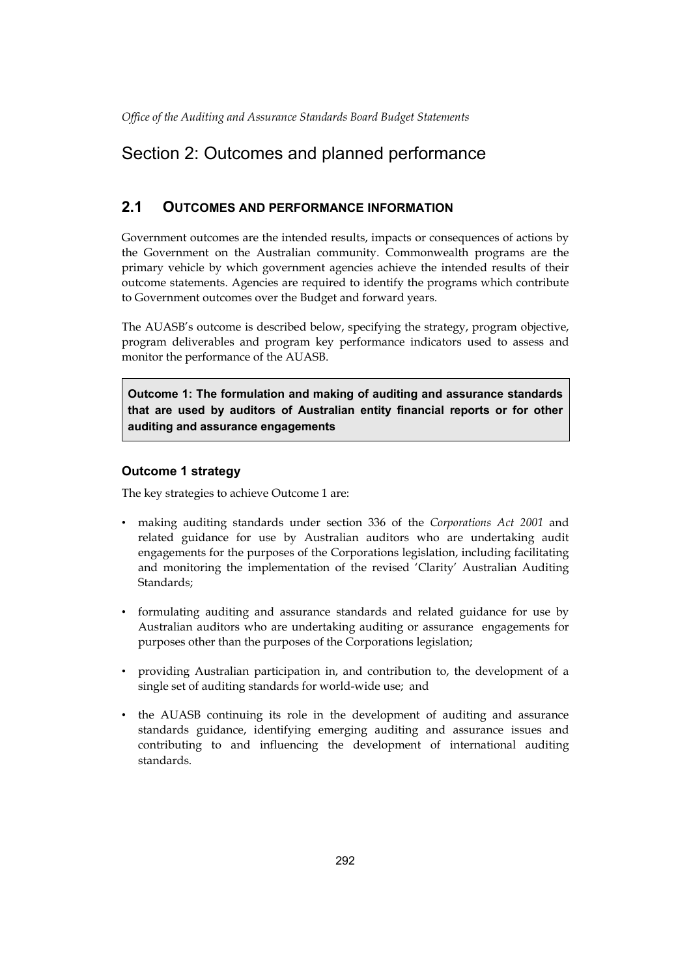# <span id="page-5-0"></span>Section 2: Outcomes and planned performance

### **2.1 OUTCOMES AND PERFORMANCE INFORMATION**

 Government outcomes are the intended results, impacts or consequences of actions by the Government on the Australian community. Commonwealth programs are the primary vehicle by which government agencies achieve the intended results of their outcome statements. Agencies are required to identify the programs which contribute to Government outcomes over the Budget and forward years.

The AUASB's outcome is described below, specifying the strategy, program objective, program deliverables and program key performance indicators used to assess and monitor the performance of the AUASB.

**Outcome 1: The formulation and making of auditing and assurance standards that are used by auditors of Australian entity financial reports or for other auditing and assurance engagements** 

### **Outcome 1 strategy**

The key strategies to achieve Outcome 1 are:

- • making auditing standards under section 336 of the *Corporations Act 2001* and related guidance for use by Australian auditors who are undertaking audit engagements for the purposes of the Corporations legislation, including facilitating and monitoring the implementation of the revised 'Clarity' Australian Auditing Standards;
- • formulating auditing and assurance standards and related guidance for use by purposes other than the purposes of the Corporations legislation; Australian auditors who are undertaking auditing or assurance engagements for
- single set of auditing standards for world-wide use; and • providing Australian participation in, and contribution to, the development of a
- standards guidance, identifying emerging auditing and assurance issues and • the AUASB continuing its role in the development of auditing and assurance contributing to and influencing the development of international auditing standards.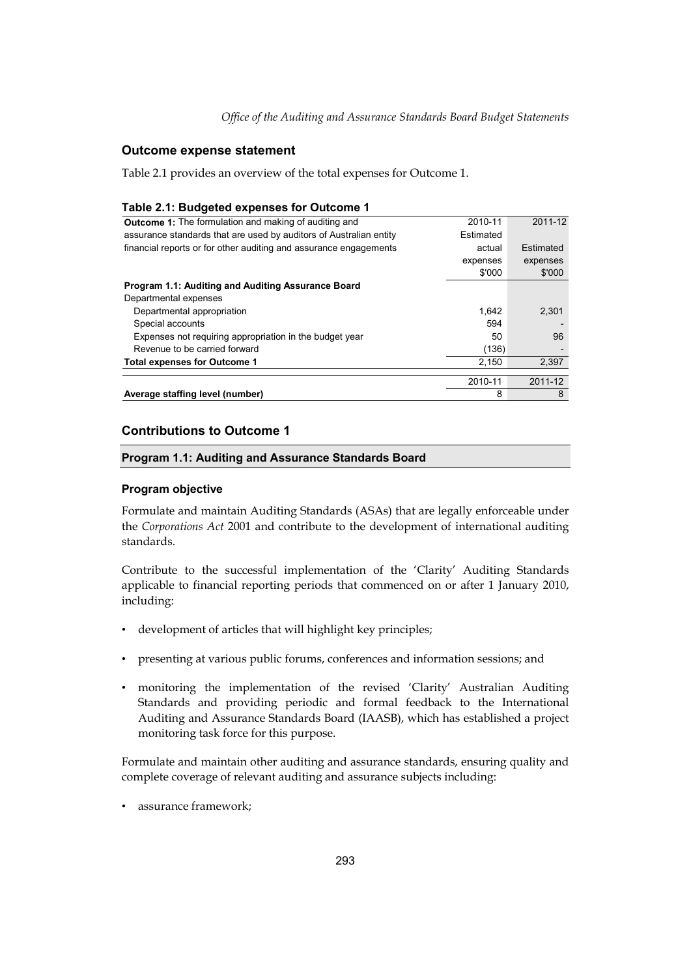### **Outcome expense statement**

Table 2.1 provides an overview of the total expenses for Outcome 1.

#### **Table 2.1: Budgeted expenses for Outcome 1**

| <b>Outcome 1:</b> The formulation and making of auditing and       | 2010-11   | 2011-12   |
|--------------------------------------------------------------------|-----------|-----------|
| assurance standards that are used by auditors of Australian entity | Estimated |           |
| financial reports or for other auditing and assurance engagements  | actual    | Estimated |
|                                                                    | expenses  | expenses  |
|                                                                    | \$'000    | \$'000    |
| Program 1.1: Auditing and Auditing Assurance Board                 |           |           |
| Departmental expenses                                              |           |           |
| Departmental appropriation                                         | 1.642     | 2,301     |
| Special accounts                                                   | 594       |           |
| Expenses not requiring appropriation in the budget year            | 50        | 96        |
| Revenue to be carried forward                                      | (136)     |           |
| <b>Total expenses for Outcome 1</b>                                | 2,150     | 2,397     |
|                                                                    | 2010-11   | 2011-12   |
|                                                                    |           |           |
| Average staffing level (number)                                    | 8         | 8         |

### **Contributions to Outcome 1**

### **Program 1.1: Auditing and Assurance Standards Board**

#### **Program objective**

Formulate and maintain Auditing Standards (ASAs) that are legally enforceable under the *Corporations Act* 2001 and contribute to the development of international auditing standards.

Contribute to the successful implementation of the 'Clarity' Auditing Standards applicable to financial reporting periods that commenced on or after 1 January 2010, including:

- development of articles that will highlight key principles;
- • presenting at various public forums, conferences and information sessions; and
- • monitoring the implementation of the revised 'Clarity' Australian Auditing Standards and providing periodic and formal feedback to the International Auditing and Assurance Standards Board (IAASB), which has established a project monitoring task force for this purpose.

Formulate and maintain other auditing and assurance standards, ensuring quality and complete coverage of relevant auditing and assurance subjects including:

assurance framework;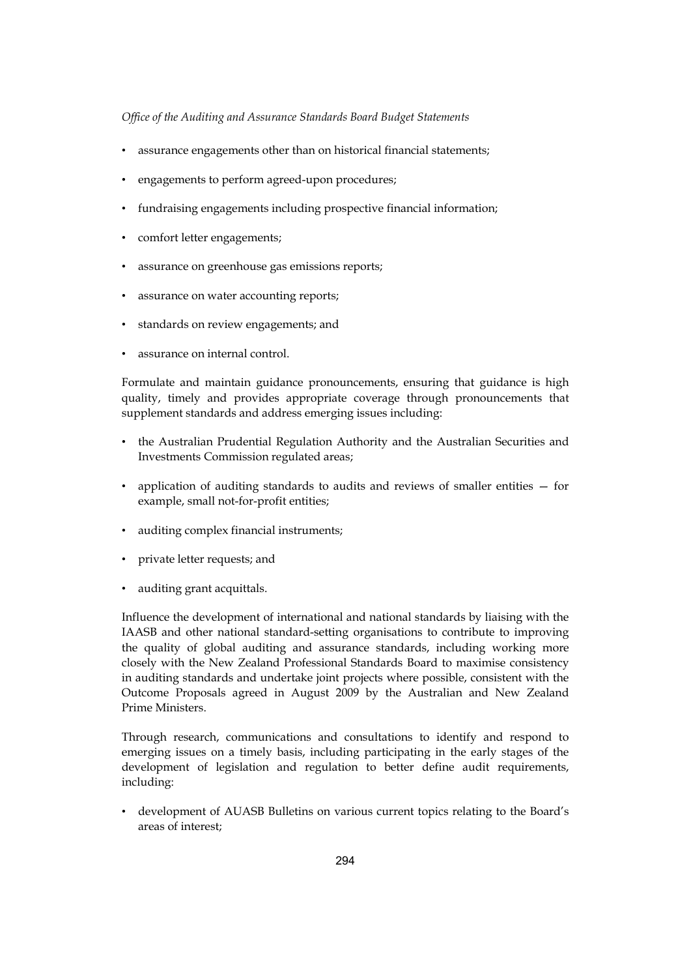### *Office of the Auditing and Assurance Standards Board Budget Statements*

- assurance engagements other than on historical financial statements;
- engagements to perform agreed-upon procedures;
- fundraising engagements including prospective financial information;
- comfort letter engagements;
- assurance on greenhouse gas emissions reports;
- assurance on water accounting reports;
- standards on review engagements; and
- assurance on internal control.

 supplement standards and address emerging issues including: Formulate and maintain guidance pronouncements, ensuring that guidance is high quality, timely and provides appropriate coverage through pronouncements that

- the Australian Prudential Regulation Authority and the Australian Securities and Investments Commission regulated areas;
- application of auditing standards to audits and reviews of smaller entities  $-$  for example, small not-for-profit entities;
- auditing complex financial instruments;
- private letter requests; and
- auditing grant acquittals.

Influence the development of international and national standards by liaising with the IAASB and other national standard-setting organisations to contribute to improving the quality of global auditing and assurance standards, including working more closely with the New Zealand Professional Standards Board to maximise consistency in auditing standards and undertake joint projects where possible, consistent with the Outcome Proposals agreed in August 2009 by the Australian and New Zealand Prime Ministers.

Through research, communications and consultations to identify and respond to emerging issues on a timely basis, including participating in the early stages of the development of legislation and regulation to better define audit requirements, including:

 areas of interest; development of AUASB Bulletins on various current topics relating to the Board's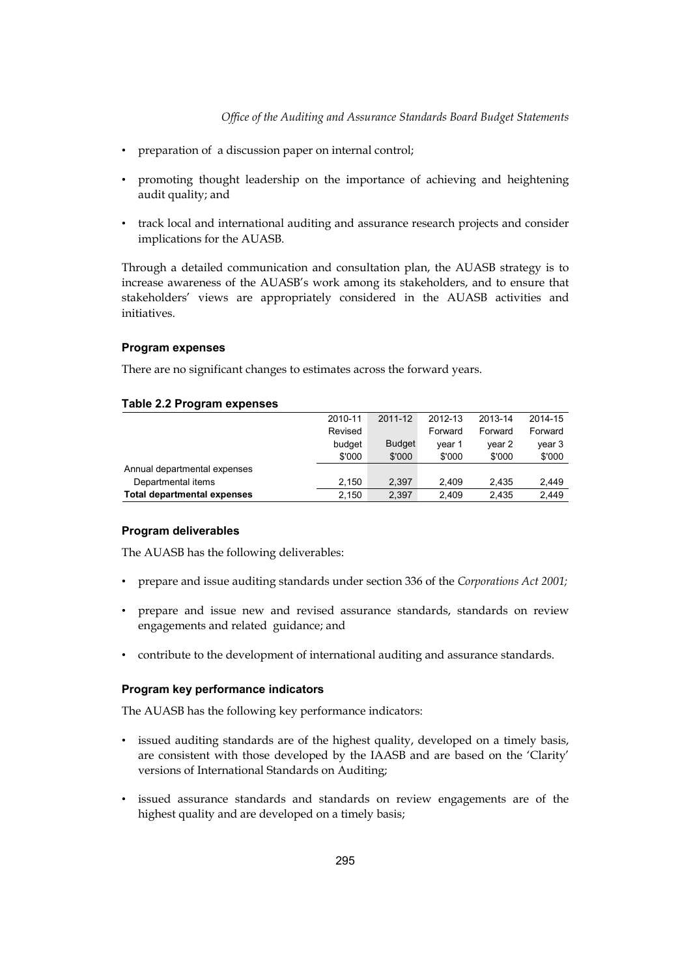- • preparation of a discussion paper on internal control;
- audit quality; and • promoting thought leadership on the importance of achieving and heightening
- track local and international auditing and assurance research projects and consider implications for the AUASB.

Through a detailed communication and consultation plan, the AUASB strategy is to increase awareness of the AUASB's work among its stakeholders, and to ensure that stakeholders' views are appropriately considered in the AUASB activities and initiatives.

### **Program expenses**

There are no significant changes to estimates across the forward years.

|  | Table 2.2 Program expenses |  |
|--|----------------------------|--|
|  |                            |  |

|                                    | 2010-11 | 2011-12       | 2012-13 | 2013-14 | 2014-15 |
|------------------------------------|---------|---------------|---------|---------|---------|
|                                    | Revised |               | Forward | Forward | Forward |
|                                    | budget  | <b>Budget</b> | vear 1  | vear 2  | year 3  |
|                                    | \$'000  | \$'000        | \$'000  | \$'000  | \$'000  |
| Annual departmental expenses       |         |               |         |         |         |
| Departmental items                 | 2.150   | 2.397         | 2.409   | 2.435   | 2.449   |
| <b>Total departmental expenses</b> | 2.150   | 2.397         | 2.409   | 2.435   | 2.449   |

### **Program deliverables**

The AUASB has the following deliverables:

- • prepare and issue auditing standards under section 336 of the *Corporations Act 2001;*
- prepare and issue new and revised assurance standards, standards on review engagements and related guidance; and
- • contribute to the development of international auditing and assurance standards.

### **Program key performance indicators**

The AUASB has the following key performance indicators:

- issued auditing standards are of the highest quality, developed on a timely basis, are consistent with those developed by the IAASB and are based on the 'Clarity' versions of International Standards on Auditing;
- • issued assurance standards and standards on review engagements are of the highest quality and are developed on a timely basis;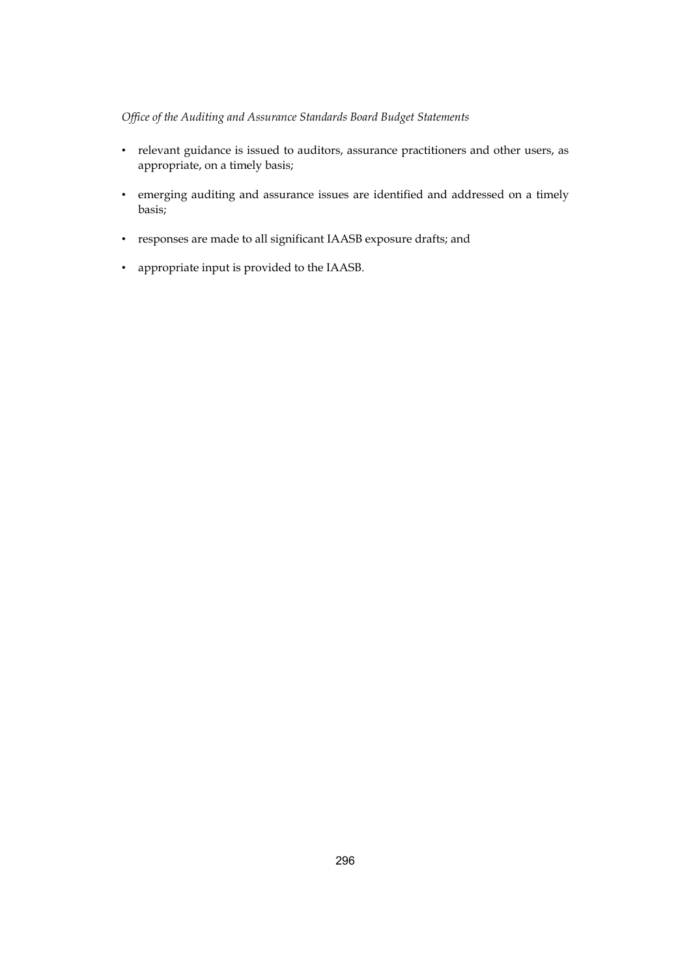### *Office of the Auditing and Assurance Standards Board Budget Statements*

- relevant guidance is issued to auditors, assurance practitioners and other users, as appropriate, on a timely basis;
- • emerging auditing and assurance issues are identified and addressed on a timely basis;
- • responses are made to all significant IAASB exposure drafts; and
- • appropriate input is provided to the IAASB.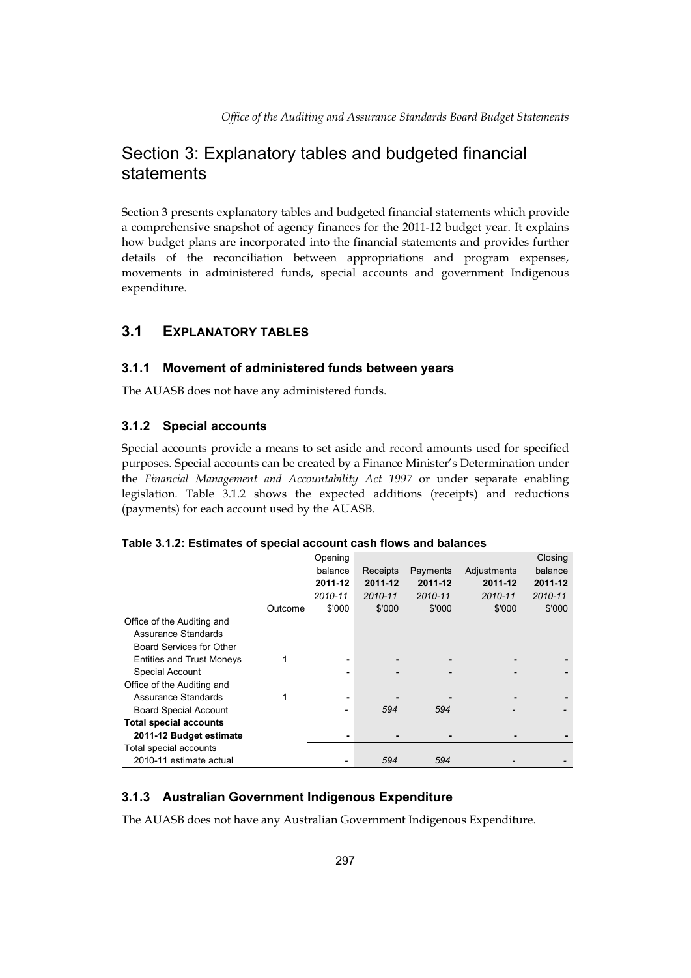# Section 3: Explanatory tables and budgeted financial statements

Section 3 presents explanatory tables and budgeted financial statements which provide a comprehensive snapshot of agency finances for the 2011-12 budget year. It explains how budget plans are incorporated into the financial statements and provides further details of the reconciliation between appropriations and program expenses, movements in administered funds, special accounts and government Indigenous expenditure.

# **3.1 EXPLANATORY TABLES**

### **3.1.1 Movement of administered funds between years**

The AUASB does not have any administered funds.

### **3.1.2 Special accounts**

Special accounts provide a means to set aside and record amounts used for specified purposes. Special accounts can be created by a Finance Minister's Determination under the *Financial Management and Accountability Act 1997* or under separate enabling legislation. Table 3.1.2 shows the expected additions (receipts) and reductions (payments) for each account used by the AUASB.

### **Table 3.1.2: Estimates of special account cash flows and balances**

|                                  |         | Opening                  |          |          |             | Closing |
|----------------------------------|---------|--------------------------|----------|----------|-------------|---------|
|                                  |         | balance                  | Receipts | Payments | Adjustments | balance |
|                                  |         | 2011-12                  | 2011-12  | 2011-12  | 2011-12     | 2011-12 |
|                                  |         | 2010-11                  | 2010-11  | 2010-11  | 2010-11     | 2010-11 |
|                                  | Outcome | \$'000                   | \$'000   | \$'000   | \$'000      | \$'000  |
| Office of the Auditing and       |         |                          |          |          |             |         |
| Assurance Standards              |         |                          |          |          |             |         |
| Board Services for Other         |         |                          |          |          |             |         |
| <b>Entities and Trust Moneys</b> |         | ۰                        |          |          |             |         |
| Special Account                  |         |                          |          |          |             |         |
| Office of the Auditing and       |         |                          |          |          |             |         |
| Assurance Standards              |         |                          |          |          |             |         |
| <b>Board Special Account</b>     |         | $\overline{\phantom{0}}$ | 594      | 594      |             |         |
| <b>Total special accounts</b>    |         |                          |          |          |             |         |
| 2011-12 Budget estimate          |         | ۰                        |          |          |             |         |
| Total special accounts           |         |                          |          |          |             |         |
| 2010-11 estimate actual          |         |                          | 594      | 594      |             |         |

### **3.1.3 Australian Government Indigenous Expenditure**

The AUASB does not have any Australian Government Indigenous Expenditure.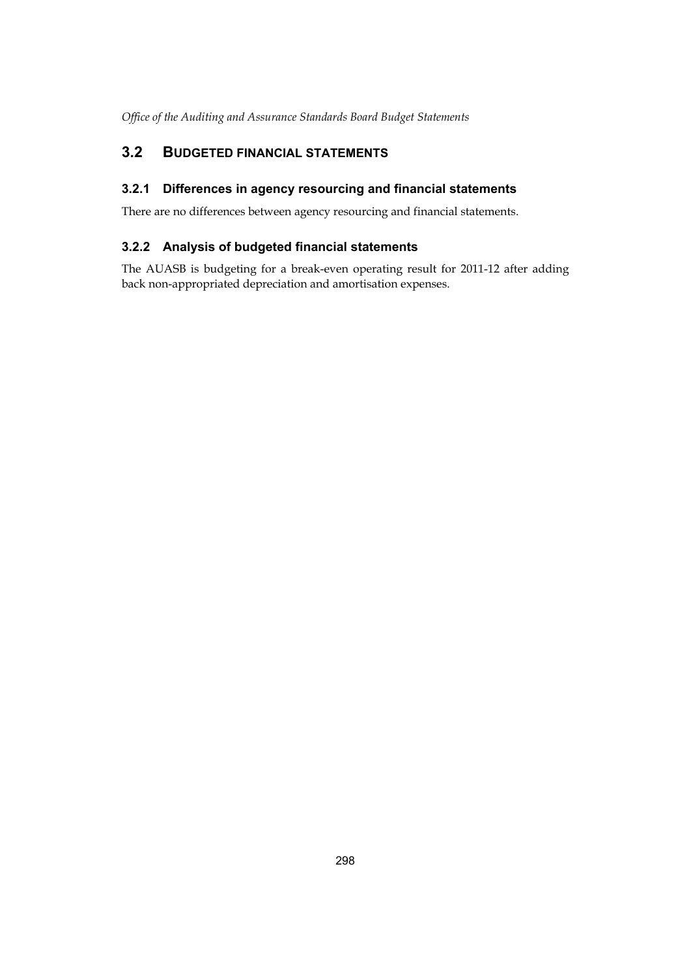# <span id="page-11-0"></span>**3.2 BUDGETED FINANCIAL STATEMENTS**

### **3.2.1 Differences in agency resourcing and financial statements**

There are no differences between agency resourcing and financial statements.

# **3.2.2 Analysis of budgeted financial statements**

The AUASB is budgeting for a break-even operating result for 2011-12 after adding back non-appropriated depreciation and amortisation expenses.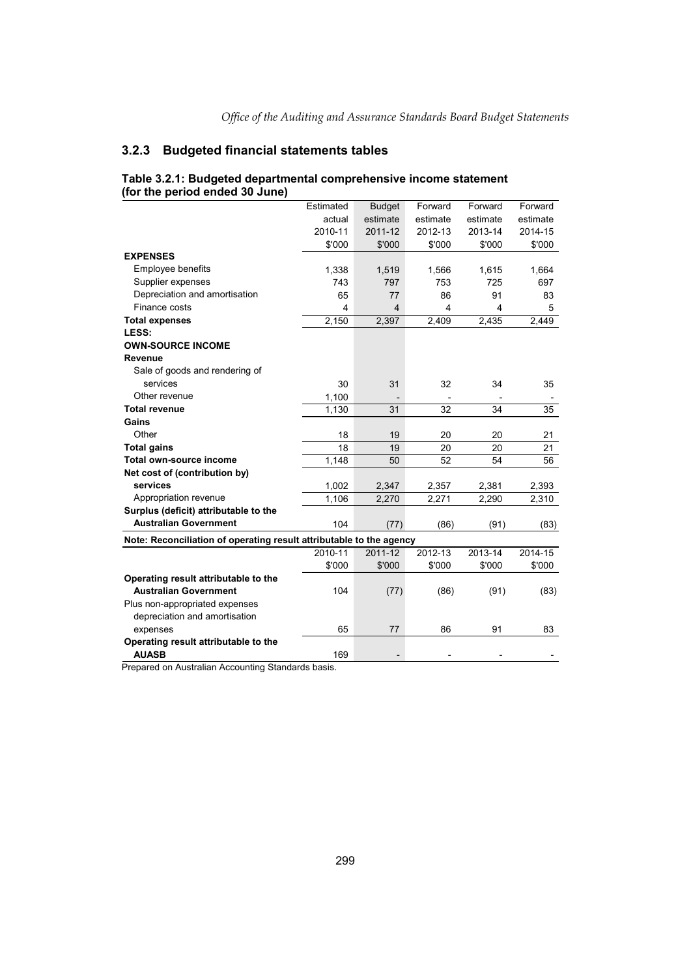### **3.2.3 Budgeted financial statements tables**

|                                                                     | Estimated | <b>Budget</b> | Forward  | Forward  | Forward  |
|---------------------------------------------------------------------|-----------|---------------|----------|----------|----------|
|                                                                     | actual    | estimate      | estimate | estimate | estimate |
|                                                                     | 2010-11   | 2011-12       | 2012-13  | 2013-14  | 2014-15  |
|                                                                     | \$'000    | \$'000        | \$'000   | \$'000   | \$'000   |
| <b>EXPENSES</b>                                                     |           |               |          |          |          |
| <b>Employee benefits</b>                                            | 1,338     | 1,519         | 1,566    | 1,615    | 1,664    |
| Supplier expenses                                                   | 743       | 797           | 753      | 725      | 697      |
| Depreciation and amortisation                                       | 65        | 77            | 86       | 91       | 83       |
| Finance costs                                                       | 4         | 4             | 4        | 4        | 5        |
| <b>Total expenses</b>                                               | 2,150     | 2,397         | 2,409    | 2,435    | 2,449    |
| LESS:                                                               |           |               |          |          |          |
| <b>OWN-SOURCE INCOME</b>                                            |           |               |          |          |          |
| Revenue                                                             |           |               |          |          |          |
| Sale of goods and rendering of                                      |           |               |          |          |          |
| services                                                            | 30        | 31            | 32       | 34       | 35       |
| Other revenue                                                       | 1,100     |               |          |          |          |
| <b>Total revenue</b>                                                | 1,130     | 31            | 32       | 34       | 35       |
| Gains                                                               |           |               |          |          |          |
| Other                                                               | 18        | 19            | 20       | 20       | 21       |
| <b>Total gains</b>                                                  | 18        | 19            | 20       | 20       | 21       |
| Total own-source income                                             | 1,148     | 50            | 52       | 54       | 56       |
| Net cost of (contribution by)                                       |           |               |          |          |          |
| services                                                            | 1,002     | 2,347         | 2,357    | 2,381    | 2,393    |
| Appropriation revenue                                               | 1,106     | 2,270         | 2,271    | 2,290    | 2,310    |
| Surplus (deficit) attributable to the                               |           |               |          |          |          |
| <b>Australian Government</b>                                        | 104       | (77)          | (86)     | (91)     | (83)     |
| Note: Reconciliation of operating result attributable to the agency |           |               |          |          |          |
|                                                                     | 2010-11   | 2011-12       | 2012-13  | 2013-14  | 2014-15  |
|                                                                     | \$'000    | \$'000        | \$'000   | \$'000   | \$'000   |
| Operating result attributable to the                                |           |               |          |          |          |
| <b>Australian Government</b>                                        | 104       | (77)          | (86)     | (91)     | (83)     |
| Plus non-appropriated expenses                                      |           |               |          |          |          |
| depreciation and amortisation                                       |           |               |          |          |          |
| expenses                                                            | 65        | 77            | 86       | 91       | 83       |
| Operating result attributable to the                                |           |               |          |          |          |
| <b>AUASB</b>                                                        | 169       |               |          |          |          |
|                                                                     |           |               |          |          |          |

#### **Table 3.2.1: Budgeted departmental comprehensive income statement (for the period ended 30 June)**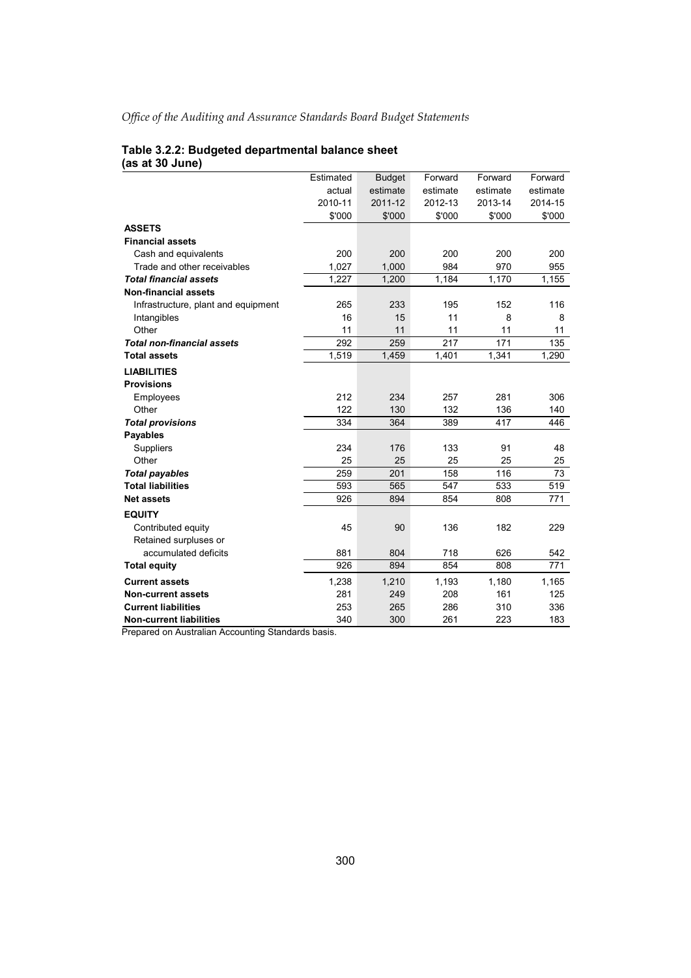### **Table 3.2.2: Budgeted departmental balance sheet (as at 30 June)**

| estimate<br>estimate<br>actual<br>estimate<br>estimate<br>2010-11<br>2011-12<br>2012-13<br>2013-14<br>2014-15<br>\$'000<br>\$'000<br>\$'000<br>\$'000<br>\$'000<br><b>ASSETS</b><br><b>Financial assets</b><br>200<br>200<br>200<br>200<br>200<br>Cash and equivalents<br>1,027<br>1,000<br>984<br>970<br>955<br>Trade and other receivables<br><b>Total financial assets</b><br>1,227<br>1,184<br>1,170<br>1,155<br>1,200<br><b>Non-financial assets</b><br>233<br>152<br>265<br>195<br>116<br>Infrastructure, plant and equipment<br>16<br>15<br>11<br>8<br>Intangibles<br>8<br>11<br>11<br>Other<br>11<br>11<br>11<br>292<br>171<br>259<br>217<br>135<br><b>Total non-financial assets</b><br><b>Total assets</b><br>1,519<br>1,401<br>1,341<br>1,290<br>1,459<br><b>LIABILITIES</b><br><b>Provisions</b><br>212<br>234<br>281<br>306<br>257<br>Employees<br>122<br>130<br>132<br>136<br>Other<br>140<br>334<br>417<br><b>Total provisions</b><br>364<br>389<br>446<br><b>Payables</b><br>Suppliers<br>234<br>176<br>133<br>91<br>48<br>25<br>25<br>25<br>Other<br>25<br>25<br>259<br>201<br>116<br><b>Total payables</b><br>158<br>73<br>533<br>593<br>565<br>519<br><b>Total liabilities</b><br>547<br>854<br>808<br>771<br>926<br>894<br>Net assets<br>136<br>182<br>Contributed equity<br>45<br>90<br>229<br>Retained surpluses or<br>accumulated deficits<br>881<br>804<br>626<br>718<br>542 |               | Estimated | <b>Budget</b> | Forward | Forward | Forward |
|------------------------------------------------------------------------------------------------------------------------------------------------------------------------------------------------------------------------------------------------------------------------------------------------------------------------------------------------------------------------------------------------------------------------------------------------------------------------------------------------------------------------------------------------------------------------------------------------------------------------------------------------------------------------------------------------------------------------------------------------------------------------------------------------------------------------------------------------------------------------------------------------------------------------------------------------------------------------------------------------------------------------------------------------------------------------------------------------------------------------------------------------------------------------------------------------------------------------------------------------------------------------------------------------------------------------------------------------------------------------------------------------------|---------------|-----------|---------------|---------|---------|---------|
|                                                                                                                                                                                                                                                                                                                                                                                                                                                                                                                                                                                                                                                                                                                                                                                                                                                                                                                                                                                                                                                                                                                                                                                                                                                                                                                                                                                                      |               |           |               |         |         |         |
|                                                                                                                                                                                                                                                                                                                                                                                                                                                                                                                                                                                                                                                                                                                                                                                                                                                                                                                                                                                                                                                                                                                                                                                                                                                                                                                                                                                                      |               |           |               |         |         |         |
|                                                                                                                                                                                                                                                                                                                                                                                                                                                                                                                                                                                                                                                                                                                                                                                                                                                                                                                                                                                                                                                                                                                                                                                                                                                                                                                                                                                                      |               |           |               |         |         |         |
|                                                                                                                                                                                                                                                                                                                                                                                                                                                                                                                                                                                                                                                                                                                                                                                                                                                                                                                                                                                                                                                                                                                                                                                                                                                                                                                                                                                                      |               |           |               |         |         |         |
|                                                                                                                                                                                                                                                                                                                                                                                                                                                                                                                                                                                                                                                                                                                                                                                                                                                                                                                                                                                                                                                                                                                                                                                                                                                                                                                                                                                                      |               |           |               |         |         |         |
|                                                                                                                                                                                                                                                                                                                                                                                                                                                                                                                                                                                                                                                                                                                                                                                                                                                                                                                                                                                                                                                                                                                                                                                                                                                                                                                                                                                                      |               |           |               |         |         |         |
|                                                                                                                                                                                                                                                                                                                                                                                                                                                                                                                                                                                                                                                                                                                                                                                                                                                                                                                                                                                                                                                                                                                                                                                                                                                                                                                                                                                                      |               |           |               |         |         |         |
|                                                                                                                                                                                                                                                                                                                                                                                                                                                                                                                                                                                                                                                                                                                                                                                                                                                                                                                                                                                                                                                                                                                                                                                                                                                                                                                                                                                                      |               |           |               |         |         |         |
|                                                                                                                                                                                                                                                                                                                                                                                                                                                                                                                                                                                                                                                                                                                                                                                                                                                                                                                                                                                                                                                                                                                                                                                                                                                                                                                                                                                                      |               |           |               |         |         |         |
|                                                                                                                                                                                                                                                                                                                                                                                                                                                                                                                                                                                                                                                                                                                                                                                                                                                                                                                                                                                                                                                                                                                                                                                                                                                                                                                                                                                                      |               |           |               |         |         |         |
|                                                                                                                                                                                                                                                                                                                                                                                                                                                                                                                                                                                                                                                                                                                                                                                                                                                                                                                                                                                                                                                                                                                                                                                                                                                                                                                                                                                                      |               |           |               |         |         |         |
|                                                                                                                                                                                                                                                                                                                                                                                                                                                                                                                                                                                                                                                                                                                                                                                                                                                                                                                                                                                                                                                                                                                                                                                                                                                                                                                                                                                                      |               |           |               |         |         |         |
|                                                                                                                                                                                                                                                                                                                                                                                                                                                                                                                                                                                                                                                                                                                                                                                                                                                                                                                                                                                                                                                                                                                                                                                                                                                                                                                                                                                                      |               |           |               |         |         |         |
|                                                                                                                                                                                                                                                                                                                                                                                                                                                                                                                                                                                                                                                                                                                                                                                                                                                                                                                                                                                                                                                                                                                                                                                                                                                                                                                                                                                                      |               |           |               |         |         |         |
|                                                                                                                                                                                                                                                                                                                                                                                                                                                                                                                                                                                                                                                                                                                                                                                                                                                                                                                                                                                                                                                                                                                                                                                                                                                                                                                                                                                                      |               |           |               |         |         |         |
|                                                                                                                                                                                                                                                                                                                                                                                                                                                                                                                                                                                                                                                                                                                                                                                                                                                                                                                                                                                                                                                                                                                                                                                                                                                                                                                                                                                                      |               |           |               |         |         |         |
|                                                                                                                                                                                                                                                                                                                                                                                                                                                                                                                                                                                                                                                                                                                                                                                                                                                                                                                                                                                                                                                                                                                                                                                                                                                                                                                                                                                                      |               |           |               |         |         |         |
|                                                                                                                                                                                                                                                                                                                                                                                                                                                                                                                                                                                                                                                                                                                                                                                                                                                                                                                                                                                                                                                                                                                                                                                                                                                                                                                                                                                                      |               |           |               |         |         |         |
|                                                                                                                                                                                                                                                                                                                                                                                                                                                                                                                                                                                                                                                                                                                                                                                                                                                                                                                                                                                                                                                                                                                                                                                                                                                                                                                                                                                                      |               |           |               |         |         |         |
|                                                                                                                                                                                                                                                                                                                                                                                                                                                                                                                                                                                                                                                                                                                                                                                                                                                                                                                                                                                                                                                                                                                                                                                                                                                                                                                                                                                                      |               |           |               |         |         |         |
|                                                                                                                                                                                                                                                                                                                                                                                                                                                                                                                                                                                                                                                                                                                                                                                                                                                                                                                                                                                                                                                                                                                                                                                                                                                                                                                                                                                                      |               |           |               |         |         |         |
|                                                                                                                                                                                                                                                                                                                                                                                                                                                                                                                                                                                                                                                                                                                                                                                                                                                                                                                                                                                                                                                                                                                                                                                                                                                                                                                                                                                                      |               |           |               |         |         |         |
|                                                                                                                                                                                                                                                                                                                                                                                                                                                                                                                                                                                                                                                                                                                                                                                                                                                                                                                                                                                                                                                                                                                                                                                                                                                                                                                                                                                                      |               |           |               |         |         |         |
|                                                                                                                                                                                                                                                                                                                                                                                                                                                                                                                                                                                                                                                                                                                                                                                                                                                                                                                                                                                                                                                                                                                                                                                                                                                                                                                                                                                                      |               |           |               |         |         |         |
|                                                                                                                                                                                                                                                                                                                                                                                                                                                                                                                                                                                                                                                                                                                                                                                                                                                                                                                                                                                                                                                                                                                                                                                                                                                                                                                                                                                                      |               |           |               |         |         |         |
|                                                                                                                                                                                                                                                                                                                                                                                                                                                                                                                                                                                                                                                                                                                                                                                                                                                                                                                                                                                                                                                                                                                                                                                                                                                                                                                                                                                                      | <b>EQUITY</b> |           |               |         |         |         |
|                                                                                                                                                                                                                                                                                                                                                                                                                                                                                                                                                                                                                                                                                                                                                                                                                                                                                                                                                                                                                                                                                                                                                                                                                                                                                                                                                                                                      |               |           |               |         |         |         |
|                                                                                                                                                                                                                                                                                                                                                                                                                                                                                                                                                                                                                                                                                                                                                                                                                                                                                                                                                                                                                                                                                                                                                                                                                                                                                                                                                                                                      |               |           |               |         |         |         |
|                                                                                                                                                                                                                                                                                                                                                                                                                                                                                                                                                                                                                                                                                                                                                                                                                                                                                                                                                                                                                                                                                                                                                                                                                                                                                                                                                                                                      |               |           |               |         |         |         |
| 926<br>854<br>808<br>771<br><b>Total equity</b><br>894                                                                                                                                                                                                                                                                                                                                                                                                                                                                                                                                                                                                                                                                                                                                                                                                                                                                                                                                                                                                                                                                                                                                                                                                                                                                                                                                               |               |           |               |         |         |         |
| 1,180<br>1,238<br>1,210<br>1,193<br>1,165<br><b>Current assets</b>                                                                                                                                                                                                                                                                                                                                                                                                                                                                                                                                                                                                                                                                                                                                                                                                                                                                                                                                                                                                                                                                                                                                                                                                                                                                                                                                   |               |           |               |         |         |         |
| 281<br>249<br>208<br>161<br>125<br><b>Non-current assets</b>                                                                                                                                                                                                                                                                                                                                                                                                                                                                                                                                                                                                                                                                                                                                                                                                                                                                                                                                                                                                                                                                                                                                                                                                                                                                                                                                         |               |           |               |         |         |         |
| 310<br><b>Current liabilities</b><br>253<br>265<br>286<br>336                                                                                                                                                                                                                                                                                                                                                                                                                                                                                                                                                                                                                                                                                                                                                                                                                                                                                                                                                                                                                                                                                                                                                                                                                                                                                                                                        |               |           |               |         |         |         |
| 223<br>340<br>300<br>261<br>183<br>Non-current liabilities                                                                                                                                                                                                                                                                                                                                                                                                                                                                                                                                                                                                                                                                                                                                                                                                                                                                                                                                                                                                                                                                                                                                                                                                                                                                                                                                           |               |           |               |         |         |         |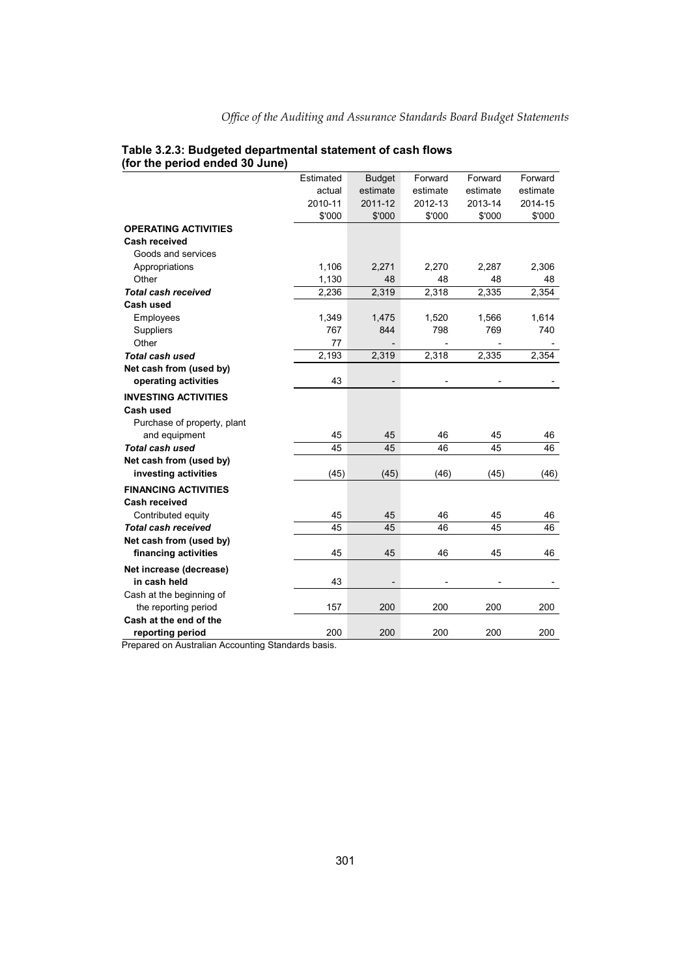# **Table 3.2.3: Budgeted departmental statement of cash flows (for the period ended 30 June)**

|                             | Estimated | <b>Budget</b>  | Forward  | Forward  | Forward  |
|-----------------------------|-----------|----------------|----------|----------|----------|
|                             | actual    | estimate       | estimate | estimate | estimate |
|                             | 2010-11   | 2011-12        | 2012-13  | 2013-14  | 2014-15  |
|                             | \$'000    | \$'000         | \$'000   | \$'000   | \$'000   |
| <b>OPERATING ACTIVITIES</b> |           |                |          |          |          |
| Cash received               |           |                |          |          |          |
| Goods and services          |           |                |          |          |          |
| Appropriations              | 1,106     | 2,271          | 2,270    | 2,287    | 2,306    |
| Other                       | 1,130     | 48             | 48       | 48       | 48       |
| <b>Total cash received</b>  | 2,236     | 2,319          | 2,318    | 2,335    | 2,354    |
| Cash used                   |           |                |          |          |          |
| Employees                   | 1,349     | 1,475          | 1,520    | 1,566    | 1,614    |
| <b>Suppliers</b>            | 767       | 844            | 798      | 769      | 740      |
| Other                       | 77        |                |          |          |          |
| Total cash used             | 2,193     | 2,319          | 2,318    | 2,335    | 2,354    |
| Net cash from (used by)     |           |                |          |          |          |
| operating activities        | 43        |                |          |          |          |
| <b>INVESTING ACTIVITIES</b> |           |                |          |          |          |
| <b>Cash used</b>            |           |                |          |          |          |
| Purchase of property, plant |           |                |          |          |          |
| and equipment               | 45        | 45             | 46       | 45       | 46       |
| <b>Total cash used</b>      | 45        | 45             | 46       | 45       | 46       |
| Net cash from (used by)     |           |                |          |          |          |
| investing activities        | (45)      | (45)           | (46)     | (45)     | (46)     |
| <b>FINANCING ACTIVITIES</b> |           |                |          |          |          |
| <b>Cash received</b>        |           |                |          |          |          |
| Contributed equity          | 45        | 45             | 46       | 45       | 46       |
| <b>Total cash received</b>  | 45        | 45             | 46       | 45       | 46       |
| Net cash from (used by)     |           |                |          |          |          |
| financing activities        | 45        | 45             | 46       | 45       | 46       |
| Net increase (decrease)     |           |                |          |          |          |
| in cash held                | 43        | $\overline{a}$ |          |          |          |
| Cash at the beginning of    |           |                |          |          |          |
| the reporting period        | 157       | 200            | 200      | 200      | 200      |
| Cash at the end of the      |           |                |          |          |          |
| reporting period            | 200       | 200            | 200      | 200      | 200      |
|                             |           |                |          |          |          |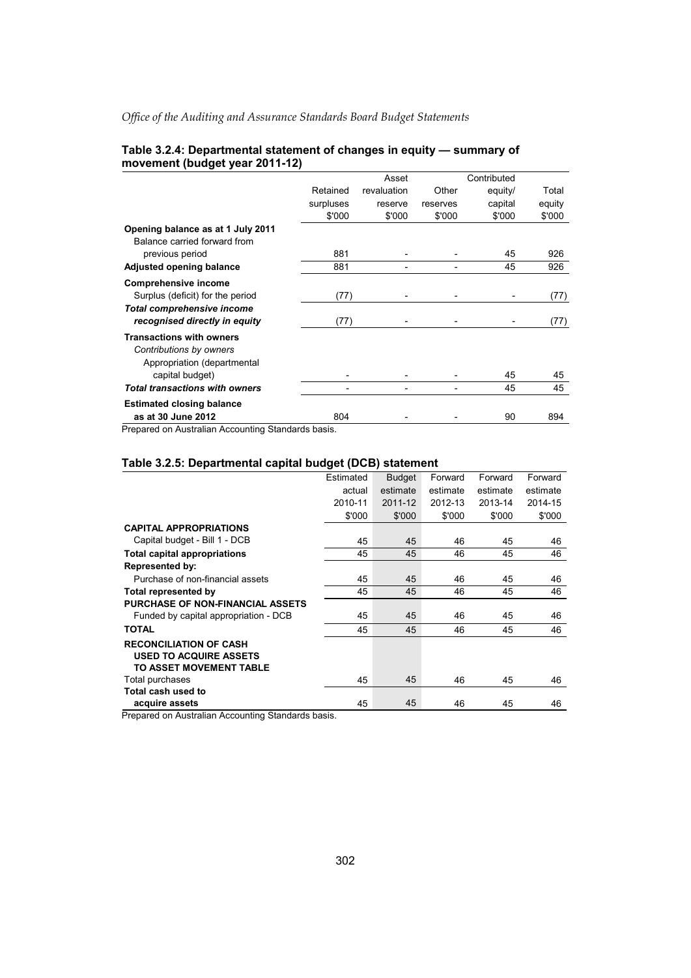|                                                                                           |           | Asset       |          | Contributed |        |
|-------------------------------------------------------------------------------------------|-----------|-------------|----------|-------------|--------|
|                                                                                           | Retained  | revaluation | Other    | equity/     | Total  |
|                                                                                           | surpluses | reserve     | reserves | capital     | equity |
|                                                                                           | \$'000    | \$'000      | \$'000   | \$'000      | \$'000 |
| Opening balance as at 1 July 2011<br>Balance carried forward from                         |           |             |          |             |        |
| previous period                                                                           | 881       |             |          | 45          | 926    |
| Adjusted opening balance                                                                  | 881       |             |          | 45          | 926    |
| <b>Comprehensive income</b><br>Surplus (deficit) for the period                           | (77)      |             |          |             | (77)   |
| <b>Total comprehensive income</b><br>recognised directly in equity                        | (77)      |             |          |             | (77)   |
| <b>Transactions with owners</b><br>Contributions by owners<br>Appropriation (departmental |           |             |          |             |        |
| capital budget)                                                                           |           |             |          | 45          | 45     |
| <b>Total transactions with owners</b>                                                     |           |             |          | 45          | 45     |
| <b>Estimated closing balance</b>                                                          |           |             |          |             |        |
| as at 30 June 2012                                                                        | 804       |             |          | 90          | 894    |

### **Table 3.2.4: Departmental statement of changes in equity — summary of movement (budget year 2011-12)**

Prepared on Australian Accounting Standards basis.

### **Table 3.2.5: Departmental capital budget (DCB) statement**

|                                                                                           | Estimated | <b>Budget</b> | Forward  | Forward  | Forward  |
|-------------------------------------------------------------------------------------------|-----------|---------------|----------|----------|----------|
|                                                                                           | actual    | estimate      | estimate | estimate | estimate |
|                                                                                           | 2010-11   | 2011-12       | 2012-13  | 2013-14  | 2014-15  |
|                                                                                           | \$'000    | \$'000        | \$'000   | \$'000   | \$'000   |
| <b>CAPITAL APPROPRIATIONS</b>                                                             |           |               |          |          |          |
| Capital budget - Bill 1 - DCB                                                             | 45        | 45            | 46       | 45       | 46       |
| <b>Total capital appropriations</b>                                                       | 45        | 45            | 46       | 45       | 46       |
| <b>Represented by:</b>                                                                    |           |               |          |          |          |
| Purchase of non-financial assets                                                          | 45        | 45            | 46       | 45       | 46       |
| Total represented by                                                                      | 45        | 45            | 46       | 45       | 46       |
| PURCHASE OF NON-FINANCIAL ASSETS                                                          |           |               |          |          |          |
| Funded by capital appropriation - DCB                                                     | 45        | 45            | 46       | 45       | 46       |
| <b>TOTAL</b>                                                                              | 45        | 45            | 46       | 45       | 46       |
| <b>RECONCILIATION OF CASH</b><br><b>USED TO ACQUIRE ASSETS</b><br>TO ASSET MOVEMENT TABLE |           |               |          |          |          |
| Total purchases                                                                           | 45        | 45            | 46       | 45       | 46       |
| Total cash used to                                                                        |           |               |          |          |          |
| acquire assets                                                                            | 45        | 45            | 46       | 45       | 46       |